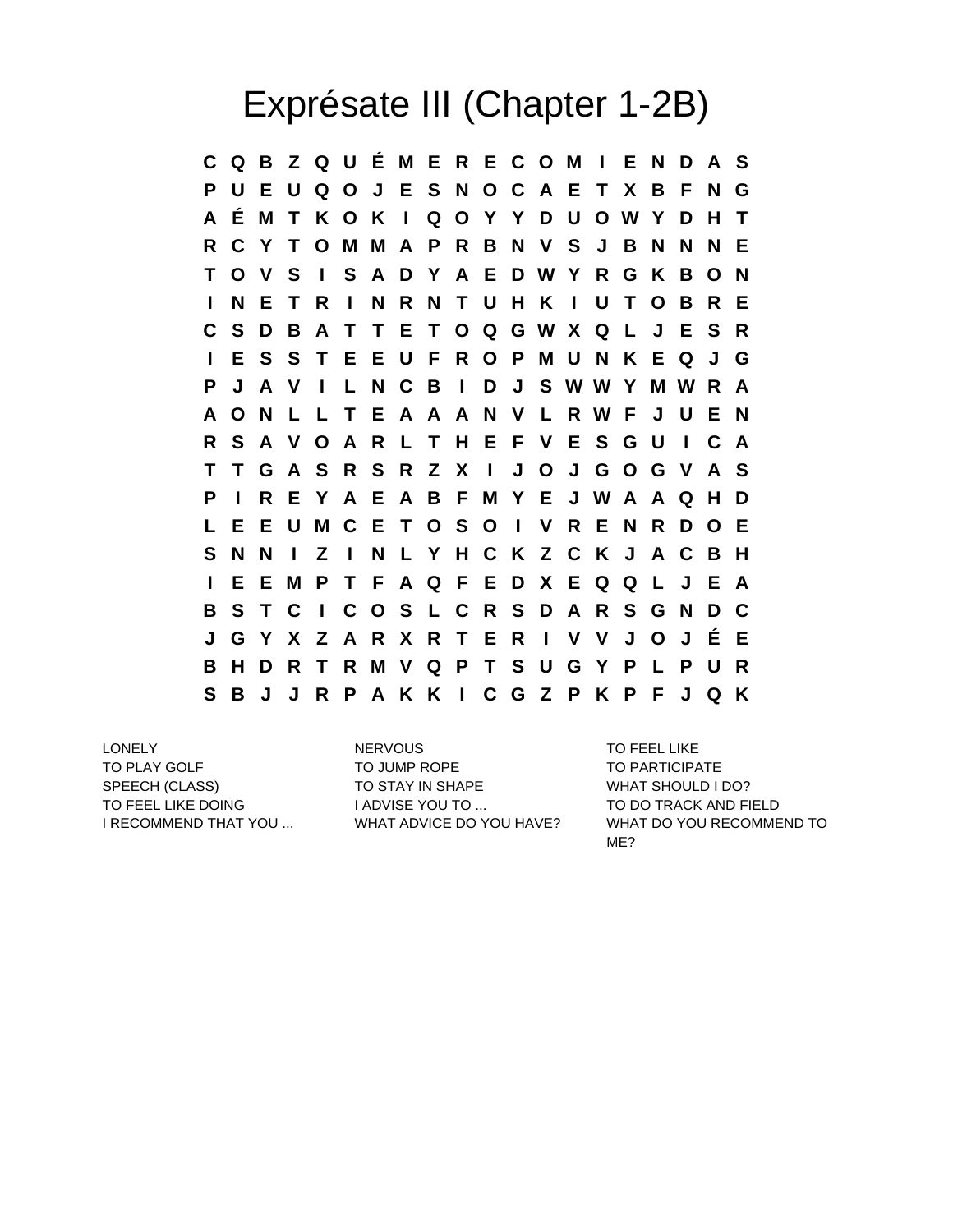## Exprésate III (Chapter 1-2B)

**C Q B Z Q U É M E R E C O M I E N D A S P U E U Q O J E S N O C A E T X B F N G A É M T K O K I Q O Y Y D U O W Y D H T R C Y T O M M A P R B N V S J B N N N E T O V S I S A D Y A E D W Y R G K B O N I N E T R I N R N T U H K I U T O B R E C S D B A T T E T O Q G W X Q L J E S R I E S S T E E U F R O P M U N K E Q J G P J A V I L N C B I D J S W W Y M W R A A O N L L T E A A A N V L R W F J U E N R S A V O A R L T H E F V E S G U I C A T T G A S R S R Z X I J O J G O G V A S P I R E Y A E A B F M Y E J W A A Q H D L E E U M C E T O S O I V R E N R D O E S N N I Z I N L Y H C K Z C K J A C B H I E E M P T F A Q F E D X E Q Q L J E A B S T C I C O S L C R S D A R S G N D C J G Y X Z A R X R T E R I V V J O J É E B H D R T R M V Q P T S U G Y P L P U R S B J J R P A K K I C G Z P K P F J Q K**

TO PLAY GOLF TO JUMP ROPE TO PARTICIPATE SPEECH (CLASS) TO STAY IN SHAPE WHAT SHOULD I DO? TO FEEL LIKE DOING **I ADVISE YOU TO ...** TO DO TRACK AND FIELD

LONELY NERVOUS TO FEEL LIKE

I RECOMMEND THAT YOU ... WHAT ADVICE DO YOU HAVE? WHAT DO YOU RECOMMEND TO ME?